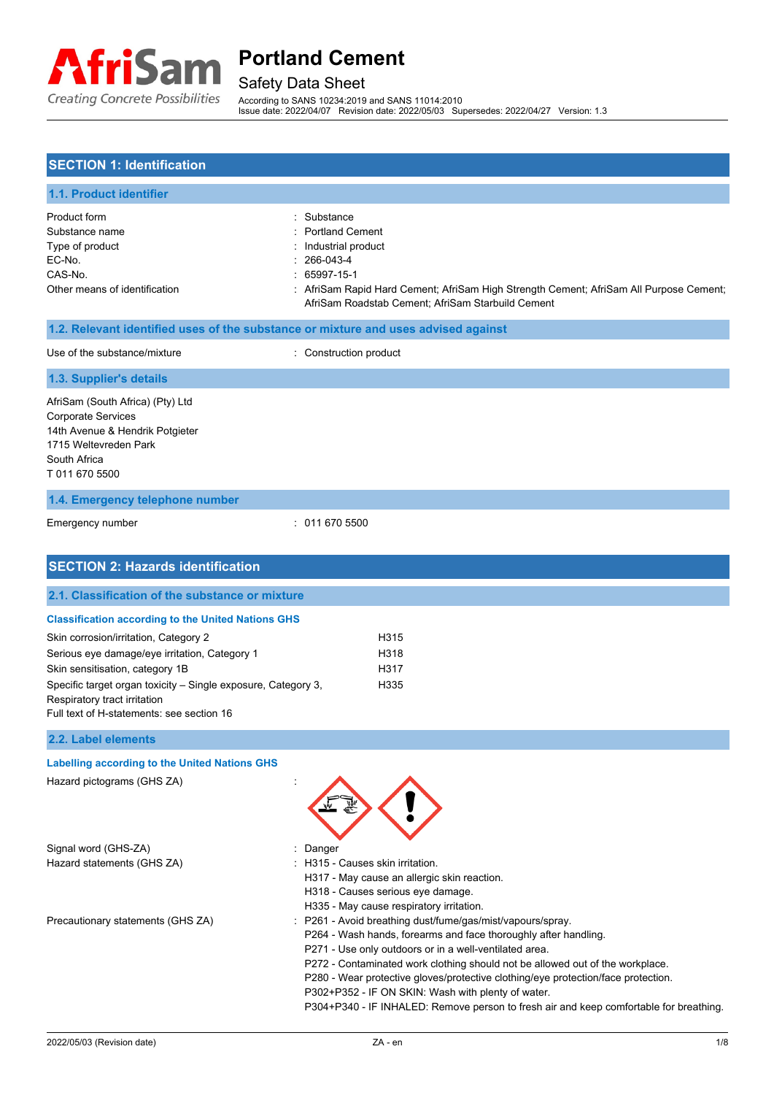

# Safety Data Sheet

According to SANS 10234:2019 and SANS 11014:2010 Issue date: 2022/04/07 Revision date: 2022/05/03 Supersedes: 2022/04/27 Version: 1.3

### **SECTION 1: Identification**

| <b>1.1. Product identifier</b> |                                                                                        |
|--------------------------------|----------------------------------------------------------------------------------------|
| Product form                   | : Substance                                                                            |
| Substance name                 | : Portland Cement                                                                      |
| Type of product                | : Industrial product                                                                   |
| EC-No.                         | $: 266-043-4$                                                                          |
| CAS-No.                        | $: 65997-15-1$                                                                         |
| Other means of identification  | : AfriSam Rapid Hard Cement; AfriSam High Strength Cement; AfriSam All Purpose Cement; |
|                                | AfriSam Roadstab Cement; AfriSam Starbuild Cement                                      |
|                                | d. O. Delayant identified uses of the substance armivture and uses advised secinal     |

#### **1.2. Relevant identified uses of the substance or mixture and uses advised against**

| Use of the substance/mixture                                                                                                                                | : Construction product |
|-------------------------------------------------------------------------------------------------------------------------------------------------------------|------------------------|
| 1.3. Supplier's details                                                                                                                                     |                        |
| AfriSam (South Africa) (Pty) Ltd<br><b>Corporate Services</b><br>14th Avenue & Hendrik Potgieter<br>1715 Weltevreden Park<br>South Africa<br>T 011 670 5500 |                        |
| 1.4. Emergency telephone number                                                                                                                             |                        |
| Emergency number                                                                                                                                            | : 0116705500           |

| <b>SECTION 2: Hazards identification</b>                      |        |                                                                                                        |  |
|---------------------------------------------------------------|--------|--------------------------------------------------------------------------------------------------------|--|
| 2.1. Classification of the substance or mixture               |        |                                                                                                        |  |
| <b>Classification according to the United Nations GHS</b>     |        |                                                                                                        |  |
| Skin corrosion/irritation, Category 2                         |        | H315                                                                                                   |  |
| Serious eye damage/eye irritation, Category 1                 |        | H318                                                                                                   |  |
| Skin sensitisation, category 1B                               |        | H317                                                                                                   |  |
| Specific target organ toxicity – Single exposure, Category 3, |        | H335                                                                                                   |  |
| Respiratory tract irritation                                  |        |                                                                                                        |  |
| Full text of H-statements: see section 16                     |        |                                                                                                        |  |
| 2.2. Label elements                                           |        |                                                                                                        |  |
| <b>Labelling according to the United Nations GHS</b>          |        |                                                                                                        |  |
| Hazard pictograms (GHS ZA)                                    |        |                                                                                                        |  |
| Signal word (GHS-ZA)                                          | Danger |                                                                                                        |  |
| Hazard statements (GHS ZA)                                    |        | : H315 - Causes skin irritation.                                                                       |  |
|                                                               |        | H317 - May cause an allergic skin reaction.                                                            |  |
|                                                               |        | H318 - Causes serious eye damage.                                                                      |  |
| Precautionary statements (GHS ZA)                             |        | H335 - May cause respiratory irritation.<br>: P261 - Avoid breathing dust/fume/gas/mist/vapours/spray. |  |
|                                                               |        | P264 - Wash hands, forearms and face thoroughly after handling.                                        |  |
|                                                               |        | P271 - Use only outdoors or in a well-ventilated area.                                                 |  |

P272 - Contaminated work clothing should not be allowed out of the workplace.

P280 - Wear protective gloves/protective clothing/eye protection/face protection.

P302+P352 - IF ON SKIN: Wash with plenty of water.

P304+P340 - IF INHALED: Remove person to fresh air and keep comfortable for breathing.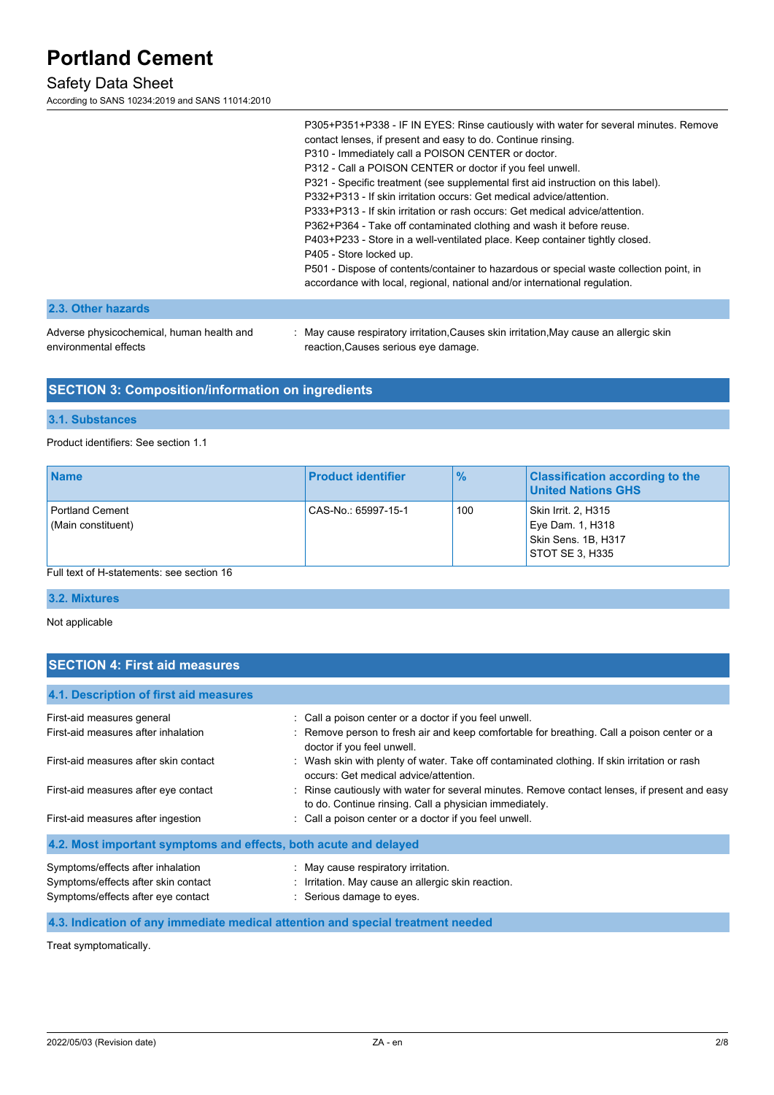### Safety Data Sheet

According to SANS 10234:2019 and SANS 11014:2010

| P305+P351+P338 - IF IN EYES: Rinse cautiously with water for several minutes. Remove<br>contact lenses, if present and easy to do. Continue rinsing.<br>P310 - Immediately call a POISON CENTER or doctor.<br>P312 - Call a POISON CENTER or doctor if you feel unwell.<br>P321 - Specific treatment (see supplemental first aid instruction on this label).<br>P332+P313 - If skin irritation occurs: Get medical advice/attention.<br>P333+P313 - If skin irritation or rash occurs: Get medical advice/attention.<br>P362+P364 - Take off contaminated clothing and wash it before reuse.<br>P403+P233 - Store in a well-ventilated place. Keep container tightly closed. |
|------------------------------------------------------------------------------------------------------------------------------------------------------------------------------------------------------------------------------------------------------------------------------------------------------------------------------------------------------------------------------------------------------------------------------------------------------------------------------------------------------------------------------------------------------------------------------------------------------------------------------------------------------------------------------|
| P405 - Store locked up.                                                                                                                                                                                                                                                                                                                                                                                                                                                                                                                                                                                                                                                      |
| P501 - Dispose of contents/container to hazardous or special waste collection point, in<br>accordance with local, regional, national and/or international regulation.                                                                                                                                                                                                                                                                                                                                                                                                                                                                                                        |
|                                                                                                                                                                                                                                                                                                                                                                                                                                                                                                                                                                                                                                                                              |

#### **2.3. Other hazards**

Adverse physicochemical, human health and environmental effects

: May cause respiratory irritation,Causes skin irritation,May cause an allergic skin reaction,Causes serious eye damage.

### **SECTION 3: Composition/information on ingredients**

#### **3.1. Substances**

#### Product identifiers: See section 1.1

| <b>Name</b>                                  | <b>Product identifier</b> | $\frac{9}{6}$ | <b>Classification according to the</b><br><b>United Nations GHS</b>               |
|----------------------------------------------|---------------------------|---------------|-----------------------------------------------------------------------------------|
| <b>Portland Cement</b><br>(Main constituent) | CAS-No.: 65997-15-1       | 100           | Skin Irrit. 2, H315<br>Eye Dam. 1, H318<br>Skin Sens. 1B, H317<br>STOT SE 3. H335 |
| Full text of H-statements: see section 16    |                           |               |                                                                                   |

#### **3.2. Mixtures**

Not applicable

### **SECTION 4: First aid measures**

| 4.1. Description of first aid measures                                                                         |                                                                                                                                                         |
|----------------------------------------------------------------------------------------------------------------|---------------------------------------------------------------------------------------------------------------------------------------------------------|
| First-aid measures general                                                                                     | : Call a poison center or a doctor if you feel unwell.                                                                                                  |
| First-aid measures after inhalation                                                                            | : Remove person to fresh air and keep comfortable for breathing. Call a poison center or a<br>doctor if you feel unwell.                                |
| First-aid measures after skin contact                                                                          | Wash skin with plenty of water. Take off contaminated clothing. If skin irritation or rash<br>occurs: Get medical advice/attention.                     |
| First-aid measures after eye contact                                                                           | : Rinse cautiously with water for several minutes. Remove contact lenses, if present and easy<br>to do. Continue rinsing. Call a physician immediately. |
| First-aid measures after ingestion                                                                             | : Call a poison center or a doctor if you feel unwell.                                                                                                  |
| 4.2. Most important symptoms and effects, both acute and delayed                                               |                                                                                                                                                         |
| Symptoms/effects after inhalation<br>Symptoms/effects after skin contact<br>Symptoms/effects after eye contact | : May cause respiratory irritation.<br>: Irritation. May cause an allergic skin reaction.<br>: Serious damage to eyes.                                  |

#### **4.3. Indication of any immediate medical attention and special treatment needed**

Treat symptomatically.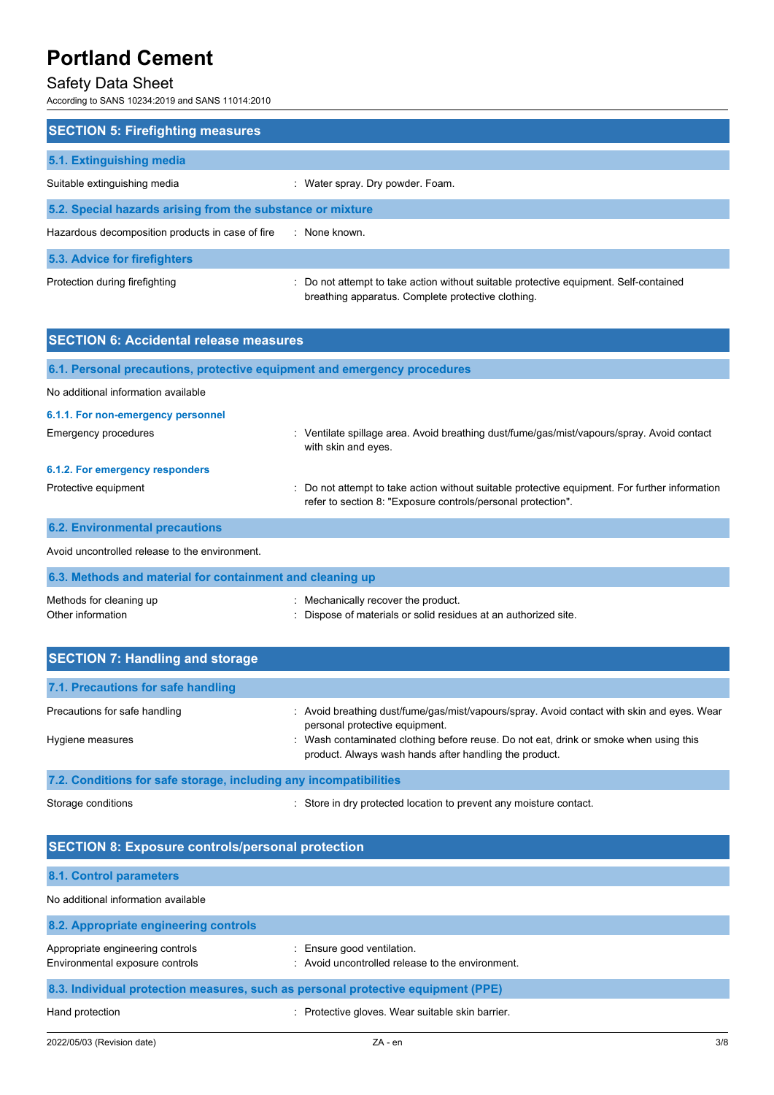### Safety Data Sheet

According to SANS 10234:2019 and SANS 11014:2010

| <b>SECTION 5: Firefighting measures</b>                    |                                                                                                                                             |  |  |
|------------------------------------------------------------|---------------------------------------------------------------------------------------------------------------------------------------------|--|--|
|                                                            |                                                                                                                                             |  |  |
| 5.1. Extinguishing media                                   |                                                                                                                                             |  |  |
| Suitable extinguishing media                               | : Water spray. Dry powder. Foam.                                                                                                            |  |  |
| 5.2. Special hazards arising from the substance or mixture |                                                                                                                                             |  |  |
| Hazardous decomposition products in case of fire           | : None known.                                                                                                                               |  |  |
| 5.3. Advice for firefighters                               |                                                                                                                                             |  |  |
| Protection during firefighting                             | : Do not attempt to take action without suitable protective equipment. Self-contained<br>breathing apparatus. Complete protective clothing. |  |  |

| <b>SECTION 6: Accidental release measures</b>                            |                                                                                                                                                              |  |  |
|--------------------------------------------------------------------------|--------------------------------------------------------------------------------------------------------------------------------------------------------------|--|--|
| 6.1. Personal precautions, protective equipment and emergency procedures |                                                                                                                                                              |  |  |
| No additional information available                                      |                                                                                                                                                              |  |  |
| 6.1.1. For non-emergency personnel                                       |                                                                                                                                                              |  |  |
| <b>Emergency procedures</b>                                              | Ventilate spillage area. Avoid breathing dust/fume/gas/mist/vapours/spray. Avoid contact<br>÷.<br>with skin and eyes.                                        |  |  |
| 6.1.2. For emergency responders                                          |                                                                                                                                                              |  |  |
| Protective equipment                                                     | Do not attempt to take action without suitable protective equipment. For further information<br>refer to section 8: "Exposure controls/personal protection". |  |  |
| <b>6.2. Environmental precautions</b>                                    |                                                                                                                                                              |  |  |
| Avoid uncontrolled release to the environment.                           |                                                                                                                                                              |  |  |

| 6.3. Methods and material for containment and cleaning up |                                                                 |  |  |
|-----------------------------------------------------------|-----------------------------------------------------------------|--|--|
| Methods for cleaning up                                   | : Mechanically recover the product.                             |  |  |
| Other information                                         | : Dispose of materials or solid residues at an authorized site. |  |  |

| <b>SECTION 7: Handling and storage</b>                            |                                                                                                                                                                                                                       |  |
|-------------------------------------------------------------------|-----------------------------------------------------------------------------------------------------------------------------------------------------------------------------------------------------------------------|--|
| 7.1. Precautions for safe handling                                |                                                                                                                                                                                                                       |  |
| Precautions for safe handling<br>Hygiene measures                 | : Avoid breathing dust/fume/gas/mist/vapours/spray. Avoid contact with skin and eyes. Wear<br>personal protective equipment.<br>: Wash contaminated clothing before reuse. Do not eat, drink or smoke when using this |  |
|                                                                   | product. Always wash hands after handling the product.                                                                                                                                                                |  |
| 7.2. Conditions for safe storage, including any incompatibilities |                                                                                                                                                                                                                       |  |

Storage conditions **Store in dry protected location to prevent any moisture contact.** 

| <b>SECTION 8: Exposure controls/personal protection</b>                          |                                                                             |  |  |
|----------------------------------------------------------------------------------|-----------------------------------------------------------------------------|--|--|
| 8.1. Control parameters                                                          |                                                                             |  |  |
| No additional information available                                              |                                                                             |  |  |
| 8.2. Appropriate engineering controls                                            |                                                                             |  |  |
| Appropriate engineering controls<br>Environmental exposure controls              | : Ensure good ventilation.<br>Avoid uncontrolled release to the environment |  |  |
| 8.3. Individual protection measures, such as personal protective equipment (PPE) |                                                                             |  |  |
| Hand protection                                                                  | : Protective gloves. Wear suitable skin barrier.                            |  |  |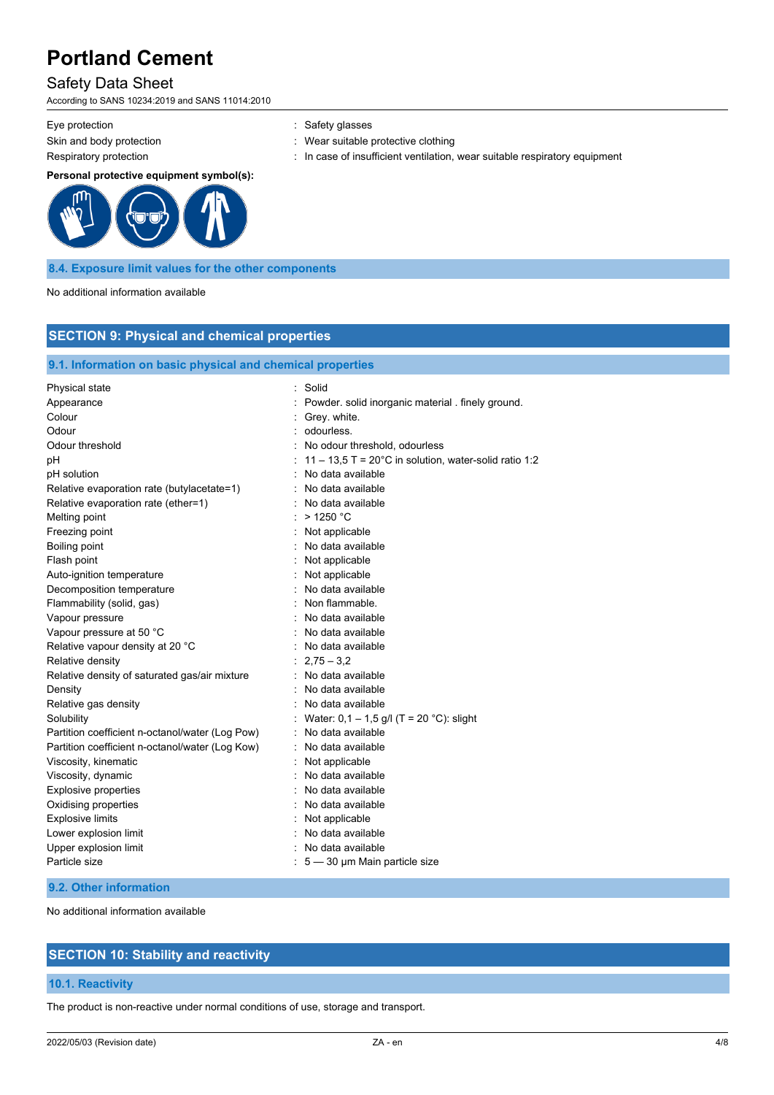### Safety Data Sheet

According to SANS 10234:2019 and SANS 11014:2010

Eye protection **in the same of the COV** and Safety glasses

Skin and body protection **in the suitable protective clothing**  $\cdot$  Wear suitable protective clothing Respiratory protection : In case of insufficient ventilation, wear suitable respiratory equipment

#### **Personal protective equipment symbol(s):**



#### **8.4. Exposure limit values for the other components**

No additional information available

### **SECTION 9: Physical and chemical properties**

#### **9.1. Information on basic physical and chemical properties**

| Physical state                                  | Solid                                                           |
|-------------------------------------------------|-----------------------------------------------------------------|
| Appearance                                      | Powder. solid inorganic material . finely ground.               |
| Colour                                          | Grey. white.                                                    |
| Odour                                           | odourless.                                                      |
| Odour threshold                                 | : No odour threshold, odourless                                 |
| рH                                              | 11 – 13,5 T = $20^{\circ}$ C in solution, water-solid ratio 1:2 |
| pH solution                                     | No data available                                               |
| Relative evaporation rate (butylacetate=1)      | No data available                                               |
| Relative evaporation rate (ether=1)             | No data available                                               |
| Melting point                                   | $>$ 1250 °C                                                     |
| Freezing point                                  | Not applicable                                                  |
| Boiling point                                   | No data available                                               |
| Flash point                                     | : Not applicable                                                |
| Auto-ignition temperature                       | Not applicable                                                  |
| Decomposition temperature                       | No data available                                               |
| Flammability (solid, gas)                       | Non flammable.                                                  |
| Vapour pressure                                 | No data available                                               |
| Vapour pressure at 50 °C                        | No data available                                               |
| Relative vapour density at 20 °C                | : No data available                                             |
| Relative density                                | $2,75 - 3,2$                                                    |
| Relative density of saturated gas/air mixture   | No data available                                               |
| Density                                         | No data available                                               |
| Relative gas density                            | No data available                                               |
| Solubility                                      | Water: 0,1 - 1,5 g/l (T = 20 °C): slight                        |
| Partition coefficient n-octanol/water (Log Pow) | No data available                                               |
| Partition coefficient n-octanol/water (Log Kow) | :   No data available                                           |
| Viscosity, kinematic                            | Not applicable                                                  |
| Viscosity, dynamic                              | No data available                                               |
| <b>Explosive properties</b>                     | No data available                                               |
| Oxidising properties                            | No data available                                               |
| <b>Explosive limits</b>                         | : Not applicable                                                |
| Lower explosion limit                           | No data available                                               |
| Upper explosion limit                           | No data available                                               |
| Particle size                                   | $: 5 - 30$ µm Main particle size                                |

### **9.2. Other information**

No additional information available

### **SECTION 10: Stability and reactivity**

#### **10.1. Reactivity**

The product is non-reactive under normal conditions of use, storage and transport.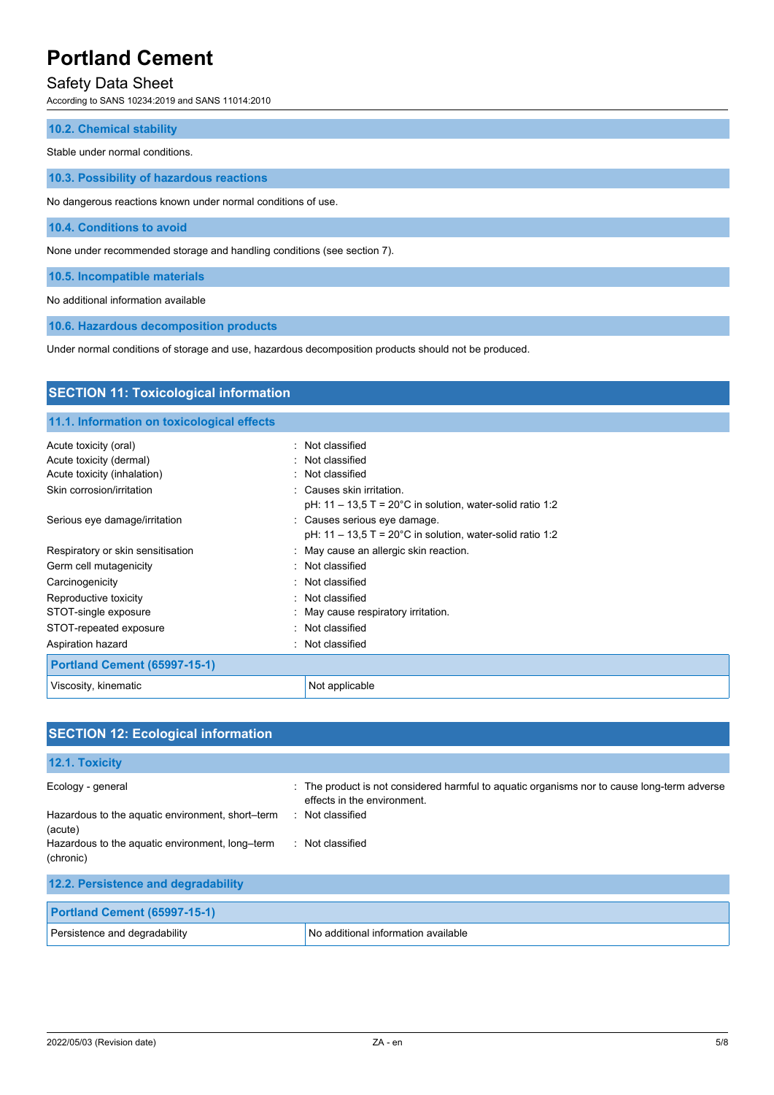# Safety Data Sheet

According to SANS 10234:2019 and SANS 11014:2010

| <b>10.2. Chemical stability</b> |  |  |
|---------------------------------|--|--|
| Stable under normal conditions. |  |  |

**10.3. Possibility of hazardous reactions**

No dangerous reactions known under normal conditions of use.

**10.4. Conditions to avoid**

None under recommended storage and handling conditions (see section 7).

**10.5. Incompatible materials**

No additional information available

**10.6. Hazardous decomposition products**

Under normal conditions of storage and use, hazardous decomposition products should not be produced.

| <b>SECTION 11: Toxicological information</b> |                                                                                                       |
|----------------------------------------------|-------------------------------------------------------------------------------------------------------|
| 11.1. Information on toxicological effects   |                                                                                                       |
| Acute toxicity (oral)                        | : Not classified                                                                                      |
| Acute toxicity (dermal)                      | : Not classified                                                                                      |
| Acute toxicity (inhalation)                  | : Not classified                                                                                      |
| Skin corrosion/irritation                    | : Causes skin irritation.<br>pH: $11 - 13.5$ T = $20^{\circ}$ C in solution, water-solid ratio 1:2    |
| Serious eye damage/irritation                | : Causes serious eye damage.<br>pH: $11 - 13.5$ T = $20^{\circ}$ C in solution, water-solid ratio 1:2 |
| Respiratory or skin sensitisation            | : May cause an allergic skin reaction.                                                                |
| Germ cell mutagenicity                       | : Not classified                                                                                      |
| Carcinogenicity                              | · Not classified                                                                                      |
| Reproductive toxicity                        | : Not classified                                                                                      |
| STOT-single exposure                         | May cause respiratory irritation.                                                                     |
| STOT-repeated exposure                       | Not classified                                                                                        |
| Aspiration hazard                            | : Not classified                                                                                      |
| <b>Portland Cement (65997-15-1)</b>          |                                                                                                       |
| Viscosity, kinematic                         | Not applicable                                                                                        |

| <b>SECTION 12: Ecological information</b>                    |                                                                                                                            |
|--------------------------------------------------------------|----------------------------------------------------------------------------------------------------------------------------|
| 12.1. Toxicity                                               |                                                                                                                            |
| Ecology - general                                            | : The product is not considered harmful to aquatic organisms nor to cause long-term adverse<br>effects in the environment. |
| Hazardous to the aquatic environment, short-term<br>(acute)  | : Not classified                                                                                                           |
| Hazardous to the aquatic environment, long-term<br>(chronic) | : Not classified                                                                                                           |
| 12.2. Persistence and degradability                          |                                                                                                                            |
| <b>Portland Cement (65997-15-1)</b>                          |                                                                                                                            |
| Persistence and degradability                                | No additional information available                                                                                        |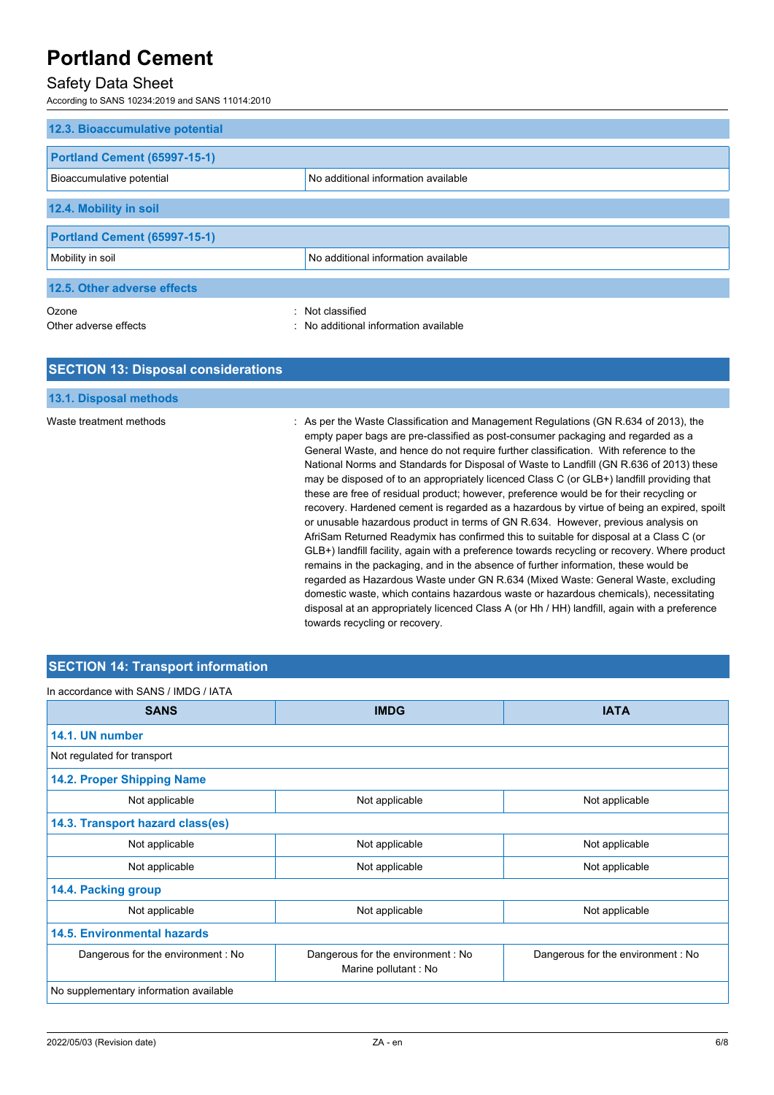## Safety Data Sheet

According to SANS 10234:2019 and SANS 11014:2010

| 12.3. Bioaccumulative potential     |                                     |
|-------------------------------------|-------------------------------------|
|                                     |                                     |
| <b>Portland Cement (65997-15-1)</b> |                                     |
| Bioaccumulative potential           | No additional information available |
|                                     |                                     |
| 12.4. Mobility in soil              |                                     |
|                                     |                                     |
| <b>Portland Cement (65997-15-1)</b> |                                     |
| Mobility in soil                    | No additional information available |
|                                     |                                     |
| 12.5. Other adverse effects         |                                     |
| Ozone                               | : Not classified                    |
| Other adverse effects               | No additional information available |

#### **SECTION 13: Disposal considerations**

# **13.1. Disposal methods**

Waste treatment methods : As per the Waste Classification and Management Regulations (GN R.634 of 2013), the empty paper bags are pre-classified as post-consumer packaging and regarded as a General Waste, and hence do not require further classification. With reference to the National Norms and Standards for Disposal of Waste to Landfill (GN R.636 of 2013) these may be disposed of to an appropriately licenced Class C (or GLB+) landfill providing that these are free of residual product; however, preference would be for their recycling or recovery. Hardened cement is regarded as a hazardous by virtue of being an expired, spoilt or unusable hazardous product in terms of GN R.634. However, previous analysis on AfriSam Returned Readymix has confirmed this to suitable for disposal at a Class C (or GLB+) landfill facility, again with a preference towards recycling or recovery. Where product remains in the packaging, and in the absence of further information, these would be regarded as Hazardous Waste under GN R.634 (Mixed Waste: General Waste, excluding domestic waste, which contains hazardous waste or hazardous chemicals), necessitating disposal at an appropriately licenced Class A (or Hh / HH) landfill, again with a preference towards recycling or recovery.

### **SECTION 14: Transport information**

In accordance with SANS / IMDG / IATA

| <b>SANS</b>                            | <b>IMDG</b>                                                | <b>IATA</b>                       |  |
|----------------------------------------|------------------------------------------------------------|-----------------------------------|--|
| 14.1. UN number                        |                                                            |                                   |  |
| Not regulated for transport            |                                                            |                                   |  |
| 14.2. Proper Shipping Name             |                                                            |                                   |  |
| Not applicable                         | Not applicable                                             | Not applicable                    |  |
| 14.3. Transport hazard class(es)       |                                                            |                                   |  |
| Not applicable                         | Not applicable                                             | Not applicable                    |  |
| Not applicable                         | Not applicable                                             | Not applicable                    |  |
| 14.4. Packing group                    |                                                            |                                   |  |
| Not applicable                         | Not applicable                                             | Not applicable                    |  |
| <b>14.5. Environmental hazards</b>     |                                                            |                                   |  |
| Dangerous for the environment: No      | Dangerous for the environment : No<br>Marine pollutant: No | Dangerous for the environment: No |  |
| No supplementary information available |                                                            |                                   |  |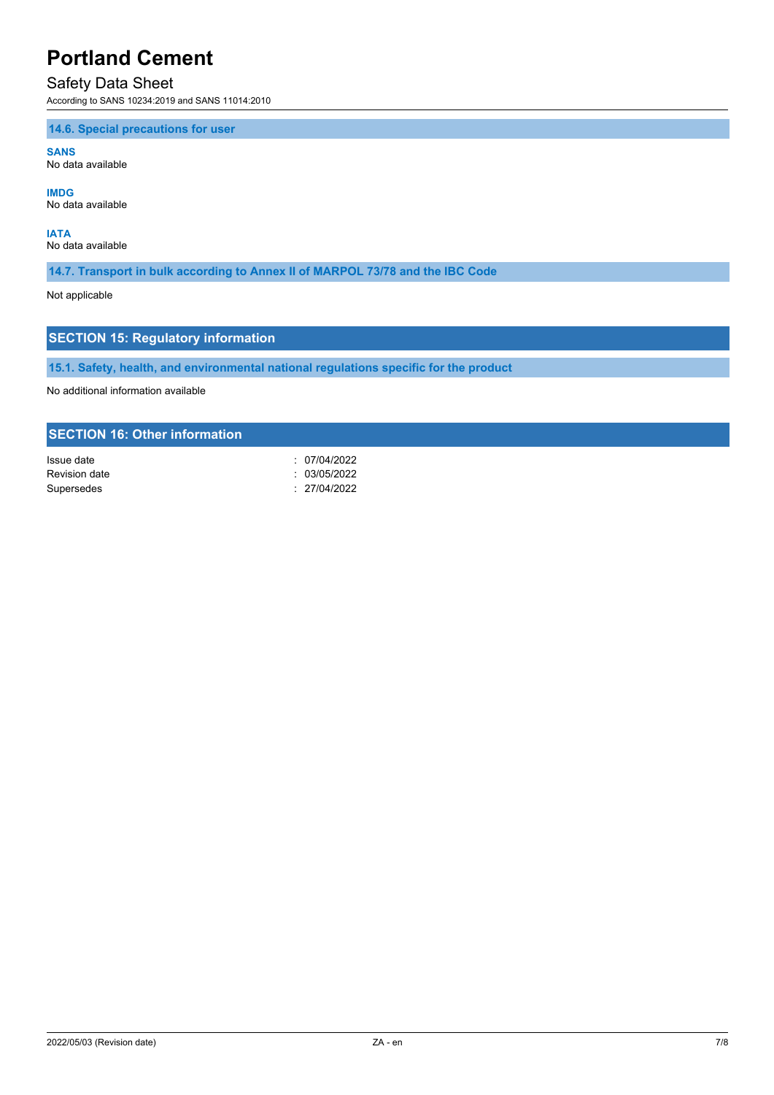### Safety Data Sheet

According to SANS 10234:2019 and SANS 11014:2010

**14.6. Special precautions for user**

**SANS** No data available

**IMDG** No data available

**IATA** No data available

**14.7. Transport in bulk according to Annex II of MARPOL 73/78 and the IBC Code**

Not applicable

### **SECTION 15: Regulatory information**

**15.1. Safety, health, and environmental national regulations specific for the product**

No additional information available

#### **SECTION 16: Other information**

| Issue date    | : 07/04/2022 |
|---------------|--------------|
| Revision date | : 03/05/2022 |
| Supersedes    | : 27/04/2022 |